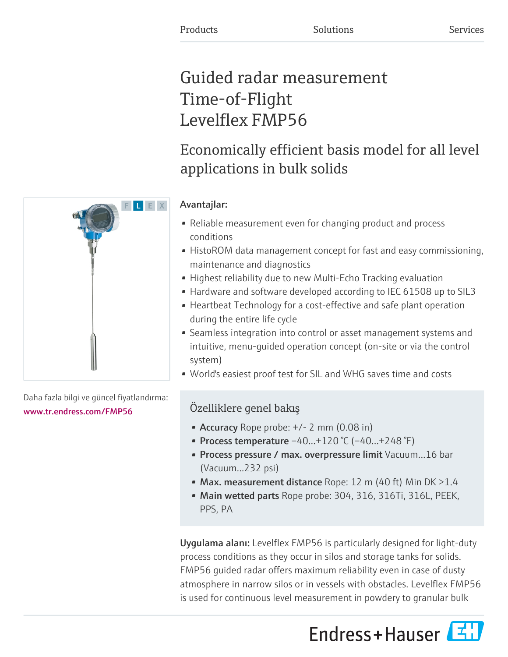# Guided radar measurement Time-of-Flight Levelflex FMP56

# Economically efficient basis model for all level applications in bulk solids

## Avantajlar:

- Reliable measurement even for changing product and process conditions
- HistoROM data management concept for fast and easy commissioning, maintenance and diagnostics
- Highest reliability due to new Multi-Echo Tracking evaluation
- Hardware and software developed according to IEC 61508 up to SIL3
- Heartbeat Technology for a cost-effective and safe plant operation during the entire life cycle
- Seamless integration into control or asset management systems and intuitive, menu-guided operation concept (on-site or via the control system)
- World's easiest proof test for SIL and WHG saves time and costs

## Özelliklere genel bakış

- Accuracy Rope probe:  $+/- 2$  mm (0.08 in)
- Process temperature  $-40...+120$  °C ( $-40...+248$  °F)
- Process pressure / max. overpressure limit Vacuum...16 bar (Vacuum...232 psi)
- Max. measurement distance Rope: 12 m (40 ft) Min DK  $>1.4$
- Main wetted parts Rope probe: 304, 316, 316Ti, 316L, PEEK, PPS, PA

Uygulama alanı: Levelflex FMP56 is particularly designed for light-duty process conditions as they occur in silos and storage tanks for solids. FMP56 guided radar offers maximum reliability even in case of dusty atmosphere in narrow silos or in vessels with obstacles. Levelflex FMP56 is used for continuous level measurement in powdery to granular bulk





Daha fazla bilgi ve güncel fiyatlandırma: [www.tr.endress.com/FMP56](https://www.tr.endress.com/FMP56)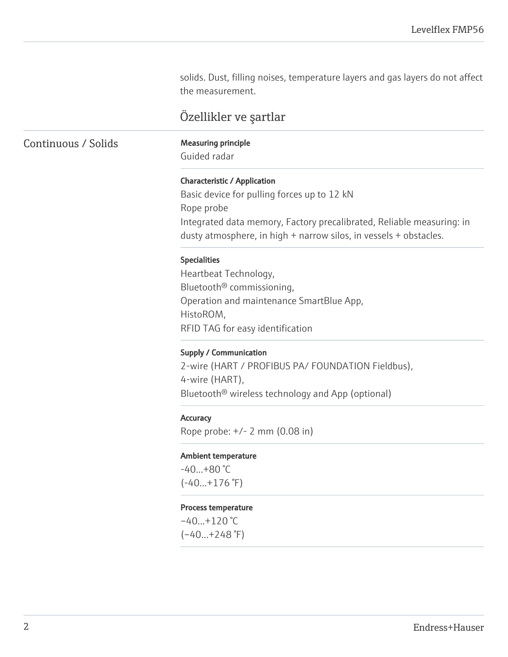solids. Dust, filling noises, temperature layers and gas layers do not affect the measurement.

## Özellikler ve şartlar

Continuous / Solids Measuring principle

Guided radar

### Characteristic / Application

Basic device for pulling forces up to 12 kN Rope probe Integrated data memory, Factory precalibrated, Reliable measuring: in dusty atmosphere, in high + narrow silos, in vessels + obstacles.

### Specialities

Heartbeat Technology, Bluetooth® commissioning, Operation and maintenance SmartBlue App, HistoROM, RFID TAG for easy identification

#### Supply / Communication

2-wire (HART / PROFIBUS PA/ FOUNDATION Fieldbus), 4-wire (HART), Bluetooth® wireless technology and App (optional)

#### **Accuracy**

Rope probe: +/- 2 mm (0.08 in)

#### Ambient temperature

 $-40...+80$  °C  $(-40...+176)$ <sup>°</sup>F)

#### Process temperature

 $-40...+120$  °C  $(-40...+248$ °F)